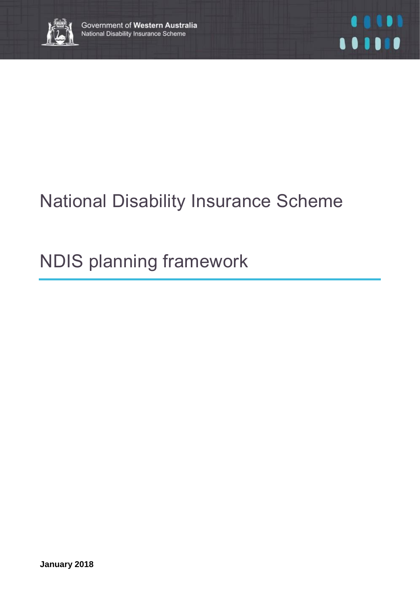

# National Disability Insurance Scheme

# NDIS planning framework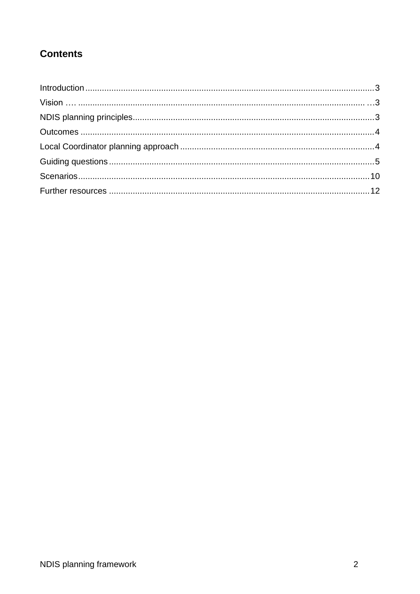## **Contents**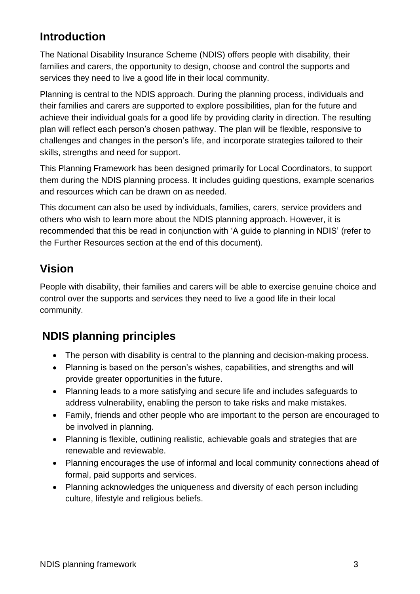# **Introduction**

The National Disability Insurance Scheme (NDIS) offers people with disability, their families and carers, the opportunity to design, choose and control the supports and services they need to live a good life in their local community.

Planning is central to the NDIS approach. During the planning process, individuals and their families and carers are supported to explore possibilities, plan for the future and achieve their individual goals for a good life by providing clarity in direction. The resulting plan will reflect each person's chosen pathway. The plan will be flexible, responsive to challenges and changes in the person's life, and incorporate strategies tailored to their skills, strengths and need for support.

This Planning Framework has been designed primarily for Local Coordinators, to support them during the NDIS planning process. It includes guiding questions, example scenarios and resources which can be drawn on as needed.

This document can also be used by individuals, families, carers, service providers and others who wish to learn more about the NDIS planning approach. However, it is recommended that this be read in conjunction with 'A guide to planning in NDIS' (refer to the Further Resources section at the end of this document).

## **Vision**

People with disability, their families and carers will be able to exercise genuine choice and control over the supports and services they need to live a good life in their local community.

# **NDIS planning principles**

- The person with disability is central to the planning and decision-making process.
- Planning is based on the person's wishes, capabilities, and strengths and will provide greater opportunities in the future.
- Planning leads to a more satisfying and secure life and includes safeguards to address vulnerability, enabling the person to take risks and make mistakes.
- Family, friends and other people who are important to the person are encouraged to be involved in planning.
- Planning is flexible, outlining realistic, achievable goals and strategies that are renewable and reviewable.
- Planning encourages the use of informal and local community connections ahead of formal, paid supports and services.
- Planning acknowledges the uniqueness and diversity of each person including culture, lifestyle and religious beliefs.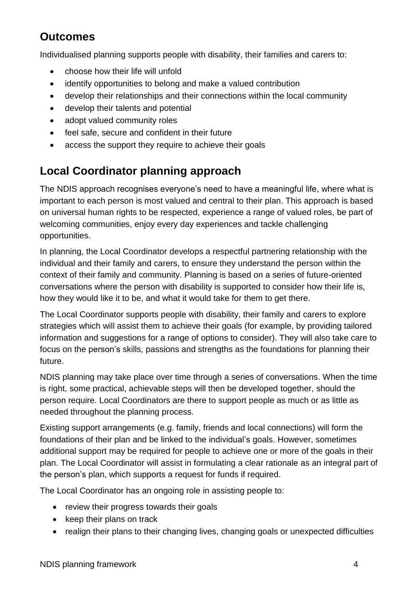## **Outcomes**

Individualised planning supports people with disability, their families and carers to:

- choose how their life will unfold
- identify opportunities to belong and make a valued contribution
- develop their relationships and their connections within the local community
- develop their talents and potential
- adopt valued community roles
- feel safe, secure and confident in their future
- access the support they require to achieve their goals

# **Local Coordinator planning approach**

The NDIS approach recognises everyone's need to have a meaningful life, where what is important to each person is most valued and central to their plan. This approach is based on universal human rights to be respected, experience a range of valued roles, be part of welcoming communities, enjoy every day experiences and tackle challenging opportunities.

In planning, the Local Coordinator develops a respectful partnering relationship with the individual and their family and carers, to ensure they understand the person within the context of their family and community. Planning is based on a series of future-oriented conversations where the person with disability is supported to consider how their life is, how they would like it to be, and what it would take for them to get there.

The Local Coordinator supports people with disability, their family and carers to explore strategies which will assist them to achieve their goals (for example, by providing tailored information and suggestions for a range of options to consider). They will also take care to focus on the person's skills, passions and strengths as the foundations for planning their future.

NDIS planning may take place over time through a series of conversations. When the time is right, some practical, achievable steps will then be developed together, should the person require. Local Coordinators are there to support people as much or as little as needed throughout the planning process.

Existing support arrangements (e.g. family, friends and local connections) will form the foundations of their plan and be linked to the individual's goals. However, sometimes additional support may be required for people to achieve one or more of the goals in their plan. The Local Coordinator will assist in formulating a clear rationale as an integral part of the person's plan, which supports a request for funds if required.

The Local Coordinator has an ongoing role in assisting people to:

- review their progress towards their goals
- keep their plans on track
- realign their plans to their changing lives, changing goals or unexpected difficulties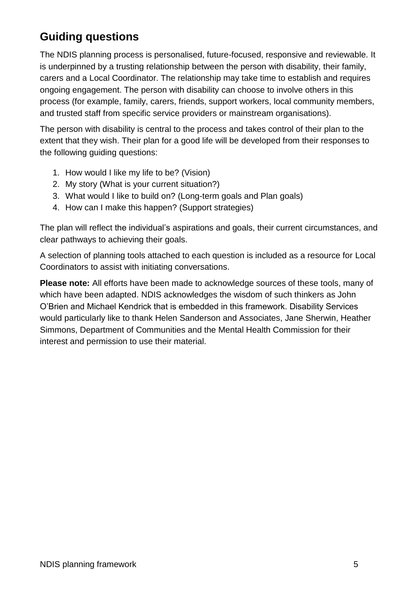# **Guiding questions**

The NDIS planning process is personalised, future-focused, responsive and reviewable. It is underpinned by a trusting relationship between the person with disability, their family, carers and a Local Coordinator. The relationship may take time to establish and requires ongoing engagement. The person with disability can choose to involve others in this process (for example, family, carers, friends, support workers, local community members, and trusted staff from specific service providers or mainstream organisations).

The person with disability is central to the process and takes control of their plan to the extent that they wish. Their plan for a good life will be developed from their responses to the following guiding questions:

- 1. How would I like my life to be? (Vision)
- 2. My story (What is your current situation?)
- 3. What would I like to build on? (Long-term goals and Plan goals)
- 4. How can I make this happen? (Support strategies)

The plan will reflect the individual's aspirations and goals, their current circumstances, and clear pathways to achieving their goals.

A selection of planning tools attached to each question is included as a resource for Local Coordinators to assist with initiating conversations.

**Please note:** All efforts have been made to acknowledge sources of these tools, many of which have been adapted. NDIS acknowledges the wisdom of such thinkers as John O'Brien and Michael Kendrick that is embedded in this framework. Disability Services would particularly like to thank Helen Sanderson and Associates, Jane Sherwin, Heather Simmons, Department of Communities and the Mental Health Commission for their interest and permission to use their material.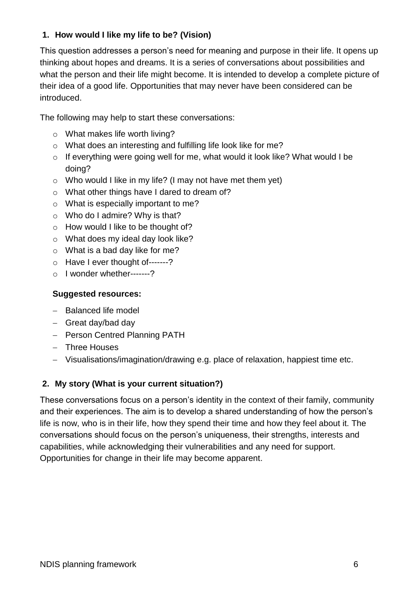#### **1. How would I like my life to be? (Vision)**

This question addresses a person's need for meaning and purpose in their life. It opens up thinking about hopes and dreams. It is a series of conversations about possibilities and what the person and their life might become. It is intended to develop a complete picture of their idea of a good life. Opportunities that may never have been considered can be introduced.

The following may help to start these conversations:

- o What makes life worth living?
- o What does an interesting and fulfilling life look like for me?
- o If everything were going well for me, what would it look like? What would I be doing?
- o Who would I like in my life? (I may not have met them yet)
- o What other things have I dared to dream of?
- o What is especially important to me?
- o Who do I admire? Why is that?
- o How would I like to be thought of?
- o What does my ideal day look like?
- o What is a bad day like for me?
- o Have I ever thought of-------?
- o I wonder whether-------?

#### **Suggested resources:**

- Balanced life model
- $-$  Great day/bad day
- Person Centred Planning PATH
- Three Houses
- Visualisations/imagination/drawing e.g. place of relaxation, happiest time etc.

#### **2. My story (What is your current situation?)**

These conversations focus on a person's identity in the context of their family, community and their experiences. The aim is to develop a shared understanding of how the person's life is now, who is in their life, how they spend their time and how they feel about it. The conversations should focus on the person's uniqueness, their strengths, interests and capabilities, while acknowledging their vulnerabilities and any need for support. Opportunities for change in their life may become apparent.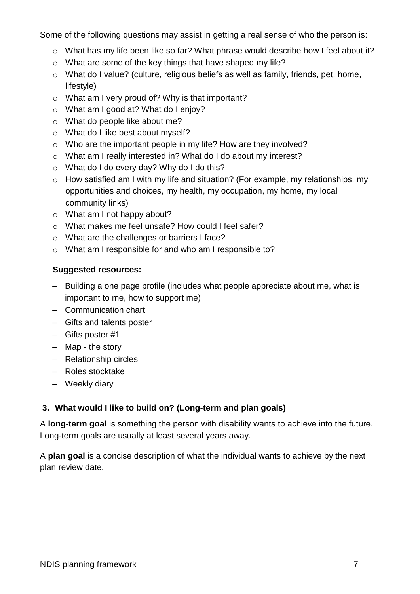Some of the following questions may assist in getting a real sense of who the person is:

- o What has my life been like so far? What phrase would describe how I feel about it?
- o What are some of the key things that have shaped my life?
- o What do I value? (culture, religious beliefs as well as family, friends, pet, home, lifestyle)
- o What am I very proud of? Why is that important?
- o What am I good at? What do I enjoy?
- o What do people like about me?
- o What do I like best about myself?
- o Who are the important people in my life? How are they involved?
- o What am I really interested in? What do I do about my interest?
- o What do I do every day? Why do I do this?
- o How satisfied am I with my life and situation? (For example, my relationships, my opportunities and choices, my health, my occupation, my home, my local community links)
- o What am I not happy about?
- o What makes me feel unsafe? How could I feel safer?
- o What are the challenges or barriers I face?
- o What am I responsible for and who am I responsible to?

#### **Suggested resources:**

- Building a one page profile (includes what people appreciate about me, what is important to me, how to support me)
- Communication chart
- Gifts and talents poster
- Gifts poster #1
- $-$  Map the story
- Relationship circles
- Roles stocktake
- Weekly diary

#### **3. What would I like to build on? (Long-term and plan goals)**

A **long-term goal** is something the person with disability wants to achieve into the future. Long-term goals are usually at least several years away.

A **plan goal** is a concise description of what the individual wants to achieve by the next plan review date.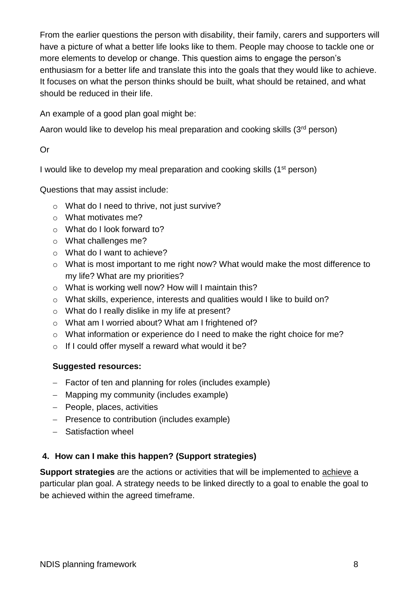From the earlier questions the person with disability, their family, carers and supporters will have a picture of what a better life looks like to them. People may choose to tackle one or more elements to develop or change. This question aims to engage the person's enthusiasm for a better life and translate this into the goals that they would like to achieve. It focuses on what the person thinks should be built, what should be retained, and what should be reduced in their life.

An example of a good plan goal might be:

Aaron would like to develop his meal preparation and cooking skills (3<sup>rd</sup> person)

Or

I would like to develop my meal preparation and cooking skills (1<sup>st</sup> person)

Questions that may assist include:

- o What do I need to thrive, not just survive?
- o What motivates me?
- o What do I look forward to?
- o What challenges me?
- o What do I want to achieve?
- o What is most important to me right now? What would make the most difference to my life? What are my priorities?
- o What is working well now? How will I maintain this?
- o What skills, experience, interests and qualities would I like to build on?
- o What do I really dislike in my life at present?
- o What am I worried about? What am I frightened of?
- o What information or experience do I need to make the right choice for me?
- $\circ$  If I could offer myself a reward what would it be?

#### **Suggested resources:**

- Factor of ten and planning for roles (includes example)
- Mapping my community (includes example)
- People, places, activities
- Presence to contribution (includes example)
- Satisfaction wheel

#### **4. How can I make this happen? (Support strategies)**

**Support strategies** are the actions or activities that will be implemented to achieve a particular plan goal. A strategy needs to be linked directly to a goal to enable the goal to be achieved within the agreed timeframe.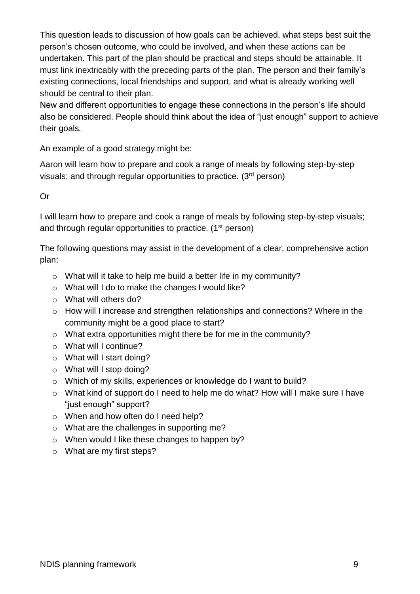This question leads to discussion of how goals can be achieved, what steps best suit the person's chosen outcome, who could be involved, and when these actions can be undertaken. This part of the plan should be practical and steps should be attainable. It must link inextricably with the preceding parts of the plan. The person and their family's existing connections, local friendships and support, and what is already working well should be central to their plan.

New and different opportunities to engage these connections in the person's life should also be considered. People should think about the idea of "just enough" support to achieve their goals*.*

An example of a good strategy might be:

Aaron will learn how to prepare and cook a range of meals by following step-by-step visuals; and through regular opportunities to practice. (3rd person)

#### Or

I will learn how to prepare and cook a range of meals by following step-by-step visuals; and through regular opportunities to practice. (1<sup>st</sup> person)

The following questions may assist in the development of a clear, comprehensive action plan:

- o What will it take to help me build a better life in my community?
- o What will I do to make the changes I would like?
- o What will others do?
- o How will I increase and strengthen relationships and connections? Where in the community might be a good place to start?
- o What extra opportunities might there be for me in the community?
- o What will I continue?
- o What will I start doing?
- o What will I stop doing?
- o Which of my skills, experiences or knowledge do I want to build?
- o What kind of support do I need to help me do what? How will I make sure I have "just enough" support?
- o When and how often do I need help?
- o What are the challenges in supporting me?
- o When would I like these changes to happen by?
- o What are my first steps?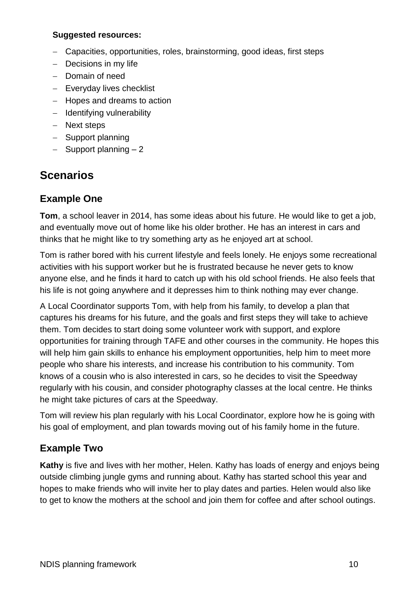#### **Suggested resources:**

- Capacities, opportunities, roles, brainstorming, good ideas, first steps
- $-$  Decisions in my life
- Domain of need
- Everyday lives checklist
- Hopes and dreams to action
- Identifying vulnerability
- Next steps
- Support planning
- $-$  Support planning  $-2$

## **Scenarios**

#### **Example One**

**Tom**, a school leaver in 2014, has some ideas about his future. He would like to get a job, and eventually move out of home like his older brother. He has an interest in cars and thinks that he might like to try something arty as he enjoyed art at school.

Tom is rather bored with his current lifestyle and feels lonely. He enjoys some recreational activities with his support worker but he is frustrated because he never gets to know anyone else, and he finds it hard to catch up with his old school friends. He also feels that his life is not going anywhere and it depresses him to think nothing may ever change.

A Local Coordinator supports Tom, with help from his family, to develop a plan that captures his dreams for his future, and the goals and first steps they will take to achieve them. Tom decides to start doing some volunteer work with support, and explore opportunities for training through TAFE and other courses in the community. He hopes this will help him gain skills to enhance his employment opportunities, help him to meet more people who share his interests, and increase his contribution to his community. Tom knows of a cousin who is also interested in cars, so he decides to visit the Speedway regularly with his cousin, and consider photography classes at the local centre. He thinks he might take pictures of cars at the Speedway.

Tom will review his plan regularly with his Local Coordinator, explore how he is going with his goal of employment, and plan towards moving out of his family home in the future.

### **Example Two**

**Kathy** is five and lives with her mother, Helen. Kathy has loads of energy and enjoys being outside climbing jungle gyms and running about. Kathy has started school this year and hopes to make friends who will invite her to play dates and parties. Helen would also like to get to know the mothers at the school and join them for coffee and after school outings.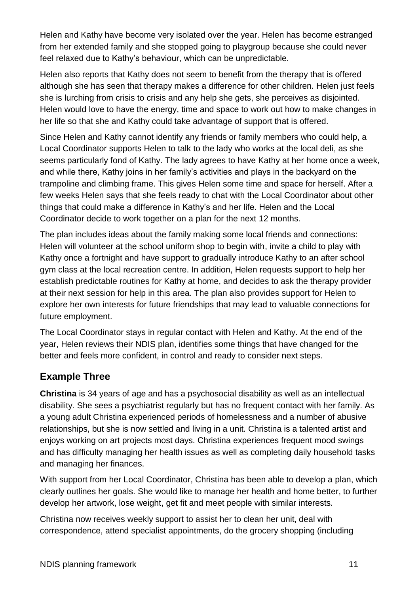Helen and Kathy have become very isolated over the year. Helen has become estranged from her extended family and she stopped going to playgroup because she could never feel relaxed due to Kathy's behaviour, which can be unpredictable.

Helen also reports that Kathy does not seem to benefit from the therapy that is offered although she has seen that therapy makes a difference for other children. Helen just feels she is lurching from crisis to crisis and any help she gets, she perceives as disjointed. Helen would love to have the energy, time and space to work out how to make changes in her life so that she and Kathy could take advantage of support that is offered.

Since Helen and Kathy cannot identify any friends or family members who could help, a Local Coordinator supports Helen to talk to the lady who works at the local deli, as she seems particularly fond of Kathy. The lady agrees to have Kathy at her home once a week, and while there, Kathy joins in her family's activities and plays in the backyard on the trampoline and climbing frame. This gives Helen some time and space for herself. After a few weeks Helen says that she feels ready to chat with the Local Coordinator about other things that could make a difference in Kathy's and her life. Helen and the Local Coordinator decide to work together on a plan for the next 12 months.

The plan includes ideas about the family making some local friends and connections: Helen will volunteer at the school uniform shop to begin with, invite a child to play with Kathy once a fortnight and have support to gradually introduce Kathy to an after school gym class at the local recreation centre. In addition, Helen requests support to help her establish predictable routines for Kathy at home, and decides to ask the therapy provider at their next session for help in this area. The plan also provides support for Helen to explore her own interests for future friendships that may lead to valuable connections for future employment.

The Local Coordinator stays in regular contact with Helen and Kathy. At the end of the year, Helen reviews their NDIS plan, identifies some things that have changed for the better and feels more confident, in control and ready to consider next steps.

### **Example Three**

**Christina** is 34 years of age and has a psychosocial disability as well as an intellectual disability. She sees a psychiatrist regularly but has no frequent contact with her family. As a young adult Christina experienced periods of homelessness and a number of abusive relationships, but she is now settled and living in a unit. Christina is a talented artist and enjoys working on art projects most days. Christina experiences frequent mood swings and has difficulty managing her health issues as well as completing daily household tasks and managing her finances.

With support from her Local Coordinator, Christina has been able to develop a plan, which clearly outlines her goals. She would like to manage her health and home better, to further develop her artwork, lose weight, get fit and meet people with similar interests.

Christina now receives weekly support to assist her to clean her unit, deal with correspondence, attend specialist appointments, do the grocery shopping (including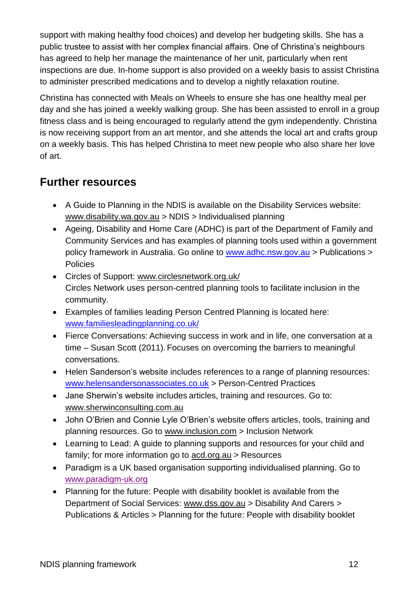support with making healthy food choices) and develop her budgeting skills. She has a public trustee to assist with her complex financial affairs. One of Christina's neighbours has agreed to help her manage the maintenance of her unit, particularly when rent inspections are due. In-home support is also provided on a weekly basis to assist Christina to administer prescribed medications and to develop a nightly relaxation routine.

Christina has connected with Meals on Wheels to ensure she has one healthy meal per day and she has joined a weekly walking group. She has been assisted to enroll in a group fitness class and is being encouraged to regularly attend the gym independently. Christina is now receiving support from an art mentor, and she attends the local art and crafts group on a weekly basis. This has helped Christina to meet new people who also share her love of art.

## **Further resources**

- A Guide to Planning in the NDIS is available on the Disability Services website: [www.disability.wa.gov.au](http://www.disability.wa.gov.au/) > NDIS > Individualised planning
- Ageing, Disability and Home Care (ADHC) is part of the Department of Family and Community Services and has examples of planning tools used within a government policy framework in Australia. Go online to [www.adhc.nsw.gov.au](http://www.adhc.nsw.gov.au/) > Publications > **Policies**
- Circles of Support: [www.circlesnetwork.org.uk/](http://www.circlesnetwork.org.uk/) Circles Network uses person-centred planning tools to facilitate inclusion in the community.
- Examples of families leading Person Centred Planning is located here: [www.familiesleadingplanning.co.uk/](http://www.familiesleadingplanning.co.uk/)
- Fierce Conversations: Achieving success in work and in life, one conversation at a time – Susan Scott (2011). Focuses on overcoming the barriers to meaningful conversations.
- Helen Sanderson's website includes references to a range of planning resources: [www.helensandersonassociates.co.uk](http://www.helensandersonassociates.co.uk/) > Person-Centred Practices
- Jane Sherwin's website includes articles, training and resources. Go to: [www.sherwinconsulting.com.au](http://www.sherwinconsulting.com.au/)
- John O'Brien and Connie Lyle O'Brien's website offers articles, tools, training and planning resources. Go to [www.inclusion.com](http://www.inclusion.com/) > Inclusion Network
- Learning to Lead: A guide to planning supports and resources for your child and family; for more information go to [acd.org.au](http://acd.org.au/) > Resources
- Paradigm is a UK based organisation supporting individualised planning. Go to [www.paradigm-uk.org](http://www.paradigm-uk.org/)
- Planning for the future: People with disability booklet is available from the Department of Social Services: [www.dss.gov.au](http://www.dss.gov.au/) > Disability And Carers > Publications & Articles > Planning for the future: People with disability booklet